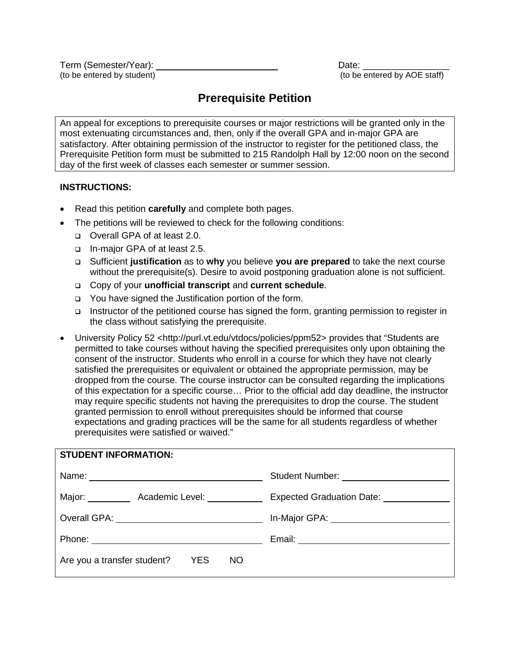(to be entered by student)

Term (Semester/Year): Date: \_\_\_\_\_\_\_\_\_\_\_\_\_\_\_\_\_

# **Prerequisite Petition**

An appeal for exceptions to prerequisite courses or major restrictions will be granted only in the most extenuating circumstances and, then, only if the overall GPA and in-major GPA are satisfactory. After obtaining permission of the instructor to register for the petitioned class, the Prerequisite Petition form must be submitted to 215 Randolph Hall by 12:00 noon on the second day of the first week of classes each semester or summer session.

## **INSTRUCTIONS:**

- Read this petition **carefully** and complete both pages.
- The petitions will be reviewed to check for the following conditions:
	- Overall GPA of at least 2.0.
	- □ In-major GPA of at least 2.5.
	- Sufficient **justification** as to **why** you believe **you are prepared** to take the next course without the prerequisite(s). Desire to avoid postponing graduation alone is not sufficient.
	- Copy of your **unofficial transcript** and **current schedule**.
	- □ You have signed the Justification portion of the form.
	- □ Instructor of the petitioned course has signed the form, granting permission to register in the class without satisfying the prerequisite.
- University Policy 52 <http://purl.vt.edu/vtdocs/policies/ppm52> provides that "Students are permitted to take courses without having the specified prerequisites only upon obtaining the consent of the instructor. Students who enroll in a course for which they have not clearly satisfied the prerequisites or equivalent or obtained the appropriate permission, may be dropped from the course. The course instructor can be consulted regarding the implications of this expectation for a specific course… Prior to the official add day deadline, the instructor may require specific students not having the prerequisites to drop the course. The student granted permission to enroll without prerequisites should be informed that course expectations and grading practices will be the same for all students regardless of whether prerequisites were satisfied or waived."

| <b>STUDENT INFORMATION:</b>                              |                                             |  |  |
|----------------------------------------------------------|---------------------------------------------|--|--|
|                                                          |                                             |  |  |
| Major: ___________ Academic Level: ___________           | Expected Graduation Date: [19] Date:        |  |  |
| Overall GPA: <u>__________________________________</u>   | In-Major GPA: _____________________________ |  |  |
|                                                          |                                             |  |  |
| Are you a transfer student?<br><b>EXERN</b><br><b>NO</b> |                                             |  |  |